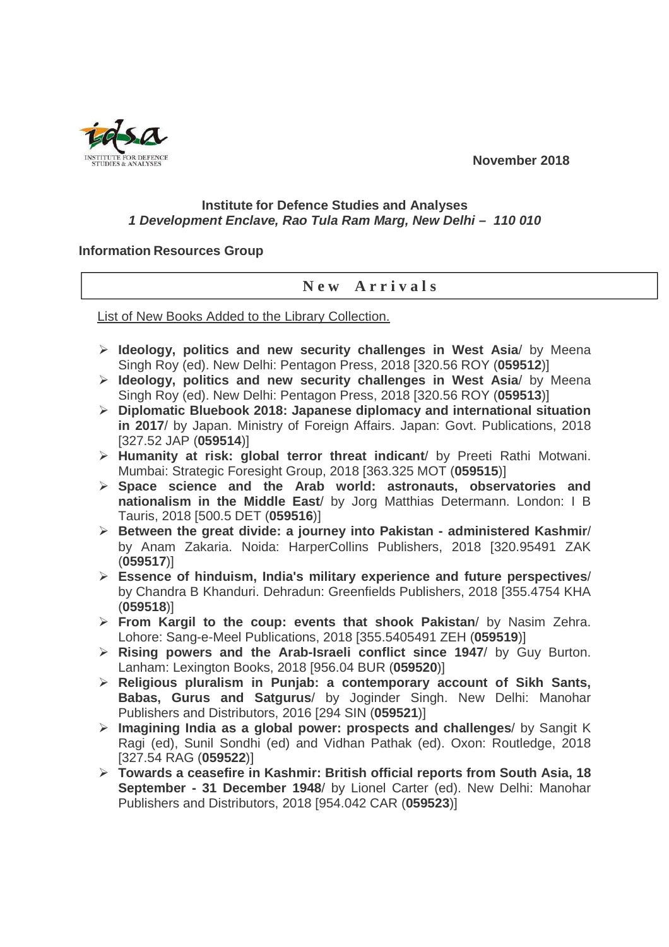**November 2018** 



## **Institute for Defence Studies and Analyses 1 Development Enclave, Rao Tula Ram Marg, New Delhi – 110 010**

## **Information Resources Group**

## **N e w A r r i v a l s**

List of New Books Added to the Library Collection.

- **Ideology, politics and new security challenges in West Asia**/ by Meena Singh Roy (ed). New Delhi: Pentagon Press, 2018 [320.56 ROY (**059512**)]
- **Ideology, politics and new security challenges in West Asia**/ by Meena Singh Roy (ed). New Delhi: Pentagon Press, 2018 [320.56 ROY (**059513**)]
- **Diplomatic Bluebook 2018: Japanese diplomacy and international situation in 2017**/ by Japan. Ministry of Foreign Affairs. Japan: Govt. Publications, 2018 [327.52 JAP (**059514**)]
- **Humanity at risk: global terror threat indicant**/ by Preeti Rathi Motwani. Mumbai: Strategic Foresight Group, 2018 [363.325 MOT (**059515**)]
- **Space science and the Arab world: astronauts, observatories and nationalism in the Middle East**/ by Jorg Matthias Determann. London: I B Tauris, 2018 [500.5 DET (**059516**)]
- **Between the great divide: a journey into Pakistan administered Kashmir**/ by Anam Zakaria. Noida: HarperCollins Publishers, 2018 [320.95491 ZAK (**059517**)]
- **Essence of hinduism, India's military experience and future perspectives**/ by Chandra B Khanduri. Dehradun: Greenfields Publishers, 2018 [355.4754 KHA (**059518**)]
- **From Kargil to the coup: events that shook Pakistan**/ by Nasim Zehra. Lohore: Sang-e-Meel Publications, 2018 [355.5405491 ZEH (**059519**)]
- **Rising powers and the Arab-Israeli conflict since 1947**/ by Guy Burton. Lanham: Lexington Books, 2018 [956.04 BUR (**059520**)]
- **Religious pluralism in Punjab: a contemporary account of Sikh Sants, Babas, Gurus and Satgurus**/ by Joginder Singh. New Delhi: Manohar Publishers and Distributors, 2016 [294 SIN (**059521**)]
- **Imagining India as a global power: prospects and challenges**/ by Sangit K Ragi (ed), Sunil Sondhi (ed) and Vidhan Pathak (ed). Oxon: Routledge, 2018 [327.54 RAG (**059522**)]
- **Towards a ceasefire in Kashmir: British official reports from South Asia, 18 September - 31 December 1948**/ by Lionel Carter (ed). New Delhi: Manohar Publishers and Distributors, 2018 [954.042 CAR (**059523**)]